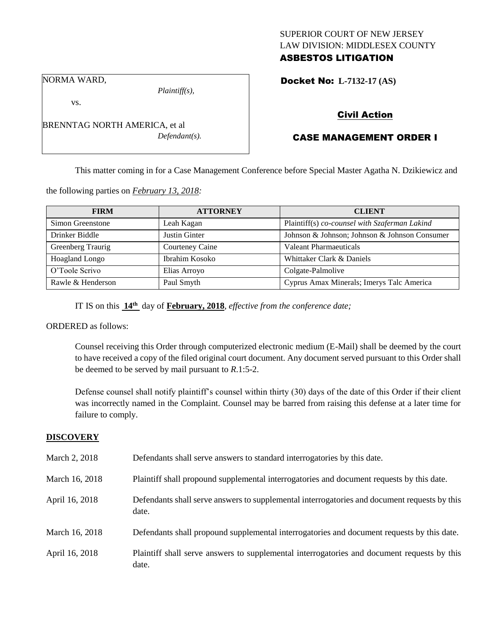## SUPERIOR COURT OF NEW JERSEY LAW DIVISION: MIDDLESEX COUNTY ASBESTOS LITIGATION

Docket No: **L-7132-17 (AS)** 

NORMA WARD,

vs.

*Plaintiff(s),*

*Defendant(s).*

Civil Action

# CASE MANAGEMENT ORDER I

This matter coming in for a Case Management Conference before Special Master Agatha N. Dzikiewicz and

the following parties on *February 13, 2018:*

BRENNTAG NORTH AMERICA, et al

| <b>FIRM</b>           | <b>ATTORNEY</b> | <b>CLIENT</b>                                 |
|-----------------------|-----------------|-----------------------------------------------|
| Simon Greenstone      | Leah Kagan      | Plaintiff(s) co-counsel with Szaferman Lakind |
| Drinker Biddle        | Justin Ginter   | Johnson & Johnson; Johnson & Johnson Consumer |
| Greenberg Traurig     | Courteney Caine | Valeant Pharmaeuticals                        |
| <b>Hoagland Longo</b> | Ibrahim Kosoko  | Whittaker Clark & Daniels                     |
| O'Toole Scrivo        | Elias Arroyo    | Colgate-Palmolive                             |
| Rawle & Henderson     | Paul Smyth      | Cyprus Amax Minerals; Imerys Talc America     |

IT IS on this **14th** day of **February, 2018**, *effective from the conference date;*

### ORDERED as follows:

Counsel receiving this Order through computerized electronic medium (E-Mail) shall be deemed by the court to have received a copy of the filed original court document. Any document served pursuant to this Order shall be deemed to be served by mail pursuant to *R*.1:5-2.

Defense counsel shall notify plaintiff's counsel within thirty (30) days of the date of this Order if their client was incorrectly named in the Complaint. Counsel may be barred from raising this defense at a later time for failure to comply.

#### **DISCOVERY**

| March 2, 2018  | Defendants shall serve answers to standard interrogatories by this date.                              |
|----------------|-------------------------------------------------------------------------------------------------------|
| March 16, 2018 | Plaintiff shall propound supplemental interrogatories and document requests by this date.             |
| April 16, 2018 | Defendants shall serve answers to supplemental interrogatories and document requests by this<br>date. |
| March 16, 2018 | Defendants shall propound supplemental interrogatories and document requests by this date.            |
| April 16, 2018 | Plaintiff shall serve answers to supplemental interrogatories and document requests by this<br>date.  |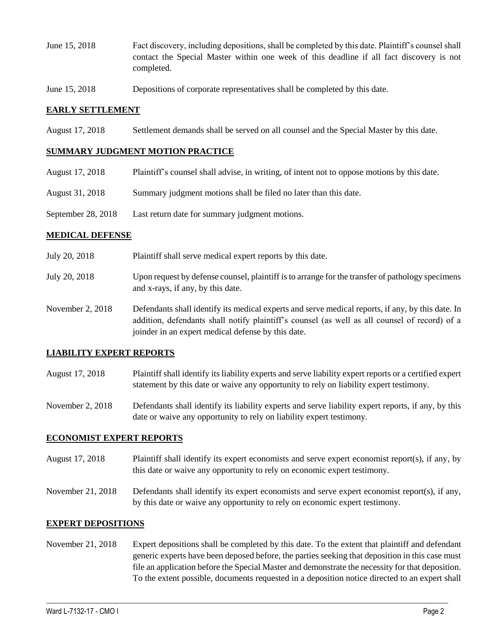- June 15, 2018 Fact discovery, including depositions, shall be completed by this date. Plaintiff's counsel shall contact the Special Master within one week of this deadline if all fact discovery is not completed.
- June 15, 2018 Depositions of corporate representatives shall be completed by this date.

### **EARLY SETTLEMENT**

August 17, 2018 Settlement demands shall be served on all counsel and the Special Master by this date.

### **SUMMARY JUDGMENT MOTION PRACTICE**

- August 17, 2018 Plaintiff's counsel shall advise, in writing, of intent not to oppose motions by this date.
- August 31, 2018 Summary judgment motions shall be filed no later than this date.
- September 28, 2018 Last return date for summary judgment motions.

### **MEDICAL DEFENSE**

- July 20, 2018 Plaintiff shall serve medical expert reports by this date.
- July 20, 2018 Upon request by defense counsel, plaintiff is to arrange for the transfer of pathology specimens and x-rays, if any, by this date.
- November 2, 2018 Defendants shall identify its medical experts and serve medical reports, if any, by this date. In addition, defendants shall notify plaintiff's counsel (as well as all counsel of record) of a joinder in an expert medical defense by this date.

## **LIABILITY EXPERT REPORTS**

- August 17, 2018 Plaintiff shall identify its liability experts and serve liability expert reports or a certified expert statement by this date or waive any opportunity to rely on liability expert testimony.
- November 2, 2018 Defendants shall identify its liability experts and serve liability expert reports, if any, by this date or waive any opportunity to rely on liability expert testimony.

#### **ECONOMIST EXPERT REPORTS**

- August 17, 2018 Plaintiff shall identify its expert economists and serve expert economist report(s), if any, by this date or waive any opportunity to rely on economic expert testimony.
- November 21, 2018 Defendants shall identify its expert economists and serve expert economist report(s), if any, by this date or waive any opportunity to rely on economic expert testimony.

## **EXPERT DEPOSITIONS**

November 21, 2018 Expert depositions shall be completed by this date. To the extent that plaintiff and defendant generic experts have been deposed before, the parties seeking that deposition in this case must file an application before the Special Master and demonstrate the necessity for that deposition. To the extent possible, documents requested in a deposition notice directed to an expert shall

 $\_$  ,  $\_$  ,  $\_$  ,  $\_$  ,  $\_$  ,  $\_$  ,  $\_$  ,  $\_$  ,  $\_$  ,  $\_$  ,  $\_$  ,  $\_$  ,  $\_$  ,  $\_$  ,  $\_$  ,  $\_$  ,  $\_$  ,  $\_$  ,  $\_$  ,  $\_$  ,  $\_$  ,  $\_$  ,  $\_$  ,  $\_$  ,  $\_$  ,  $\_$  ,  $\_$  ,  $\_$  ,  $\_$  ,  $\_$  ,  $\_$  ,  $\_$  ,  $\_$  ,  $\_$  ,  $\_$  ,  $\_$  ,  $\_$  ,